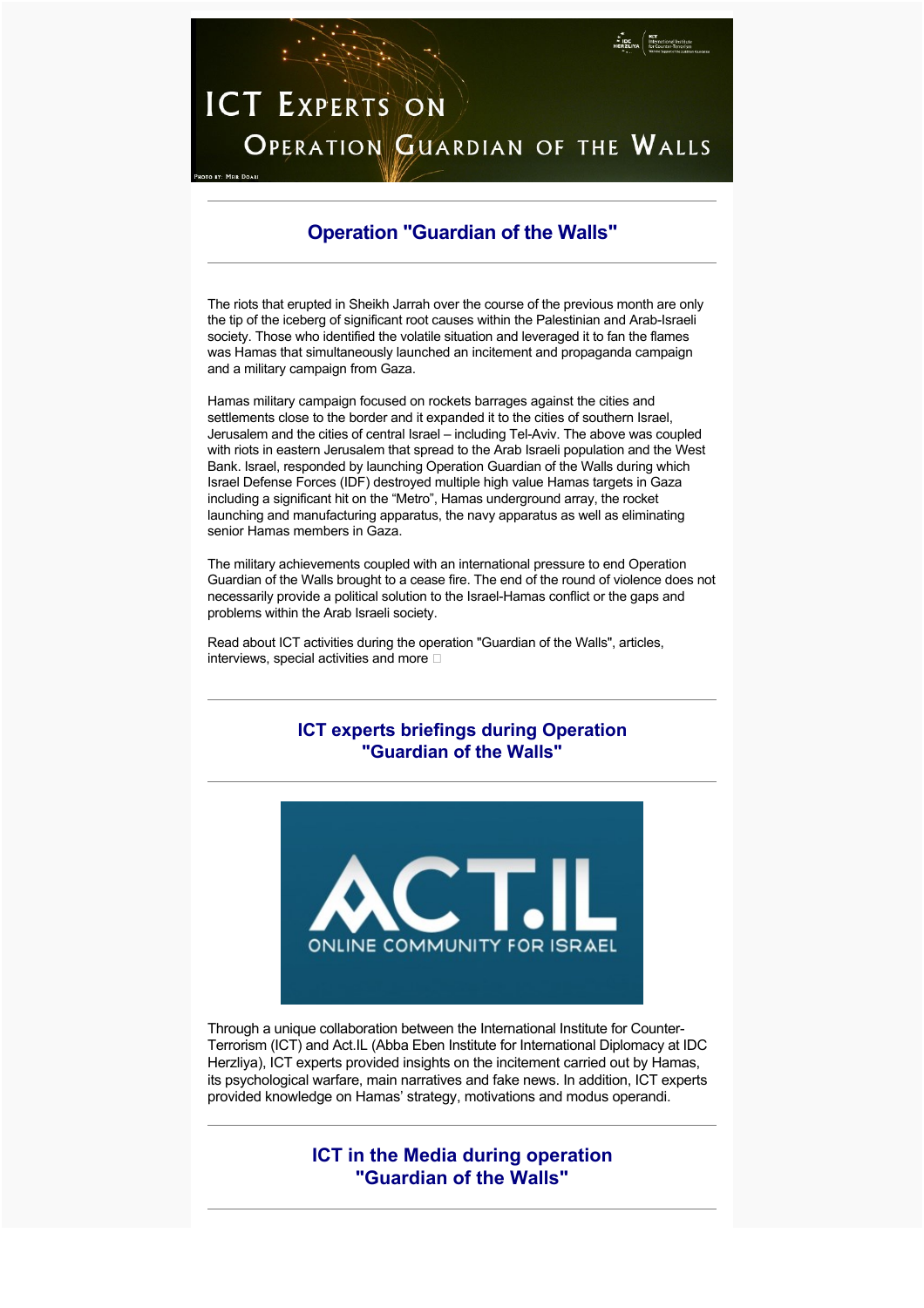# **ICT EXPERTS ON OPERATION GUARDIAN OF THE WALLS**

# **Operation "Guardian of the Walls"**

The riots that erupted in Sheikh Jarrah over the course of the previous month are only the tip of the iceberg of significant root causes within the Palestinian and Arab-Israeli society. Those who identified the volatile situation and leveraged it to fan the flames was Hamas that simultaneously launched an incitement and propaganda campaign and a military campaign from Gaza.

Hamas military campaign focused on rockets barrages against the cities and settlements close to the border and it expanded it to the cities of southern Israel, Jerusalem and the cities of central Israel – including Tel-Aviv. The above was coupled with riots in eastern Jerusalem that spread to the Arab Israeli population and the West Bank. Israel, responded by launching Operation Guardian of the Walls during which Israel Defense Forces (IDF) destroyed multiple high value Hamas targets in Gaza including a significant hit on the "Metro", Hamas underground array, the rocket launching and manufacturing apparatus, the navy apparatus as well as eliminating senior Hamas members in Gaza.

The military achievements coupled with an international pressure to end Operation Guardian of the Walls brought to a cease fire. The end of the round of violence does not necessarily provide a political solution to the Israel-Hamas conflict or the gaps and problems within the Arab Israeli society.

Read about ICT activities during the operation "Guardian of the Walls", articles, interviews, special activities and more  $\square$ 

# **ICT experts briefings during Operation "Guardian of the Walls"**



Through a unique collaboration between the International Institute for Counter-Terrorism (ICT) and Act.IL (Abba Eben Institute for International Diplomacy at IDC Herzliya), ICT experts provided insights on the incitement carried out by Hamas, its psychological warfare, main narratives and fake news. In addition, ICT experts provided knowledge on Hamas' strategy, motivations and modus operandi.

> **ICT in the Media during operation "Guardian of the Walls"**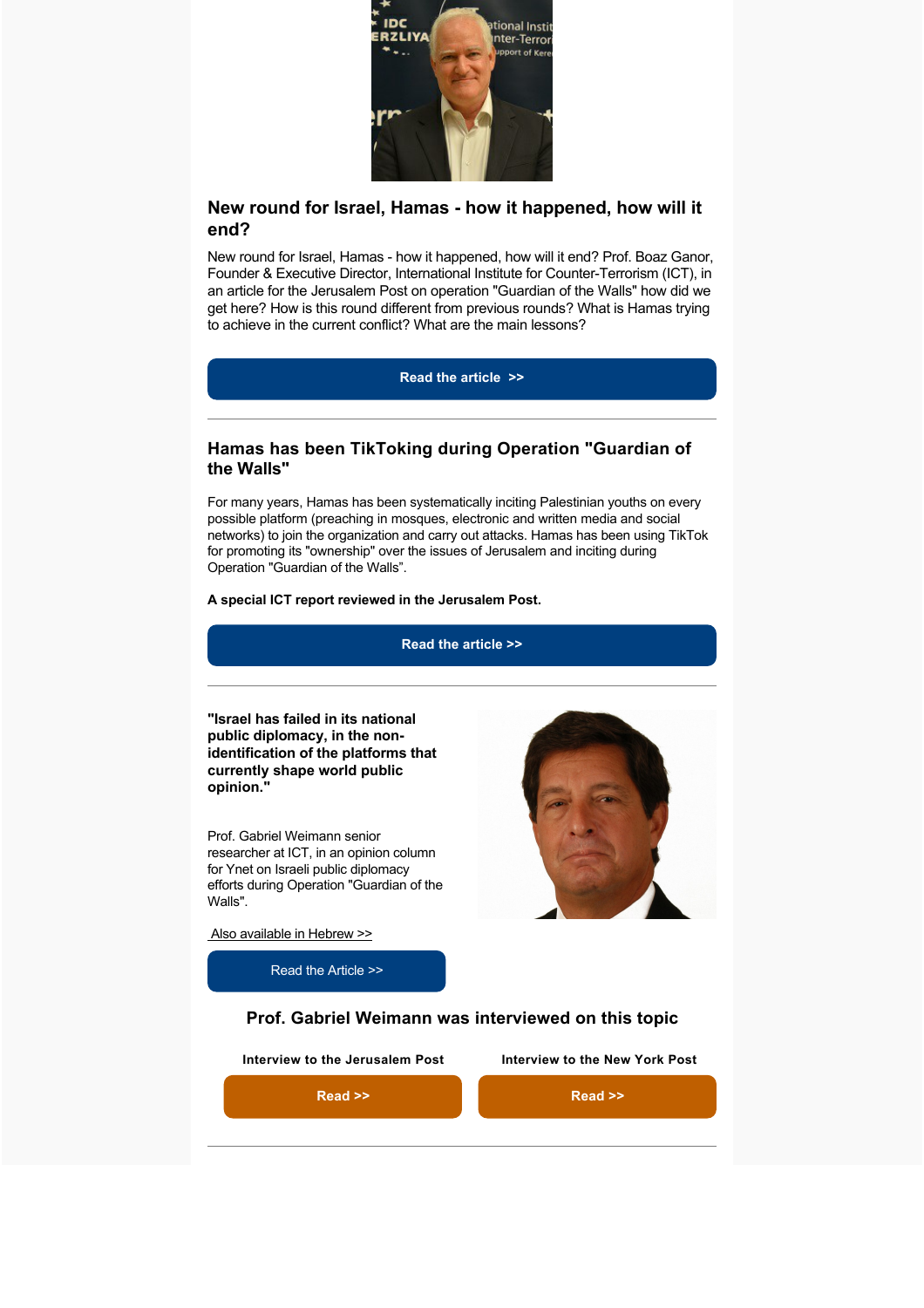

# **New round for Israel, Hamas - how it happened, how will it end?**

New round for Israel, Hamas - how it happened, how will it end? Prof. Boaz Ganor, Founder & Executive Director, International Institute for Counter-Terrorism (ICT), in an article for the Jerusalem Post on operation "Guardian of the Walls" how did we get here? How is this round different from previous rounds? What is Hamas trying to achieve in the current conflict? What are the main lessons?

**[Read the article >>](https://www.jpost.com/opinion/new-round-for-israel-hamas-how-it-happened-how-will-it-end-opinion-668130)**

## **Hamas has been TikToking during Operation "Guardian of the Walls"**

For many years, Hamas has been systematically inciting Palestinian youths on every possible platform (preaching in mosques, electronic and written media and social networks) to join the organization and carry out attacks. Hamas has been using TikTok for promoting its "ownership" over the issues of Jerusalem and inciting during Operation "Guardian of the Walls".

#### **A special ICT report reviewed in the Jerusalem Post.**

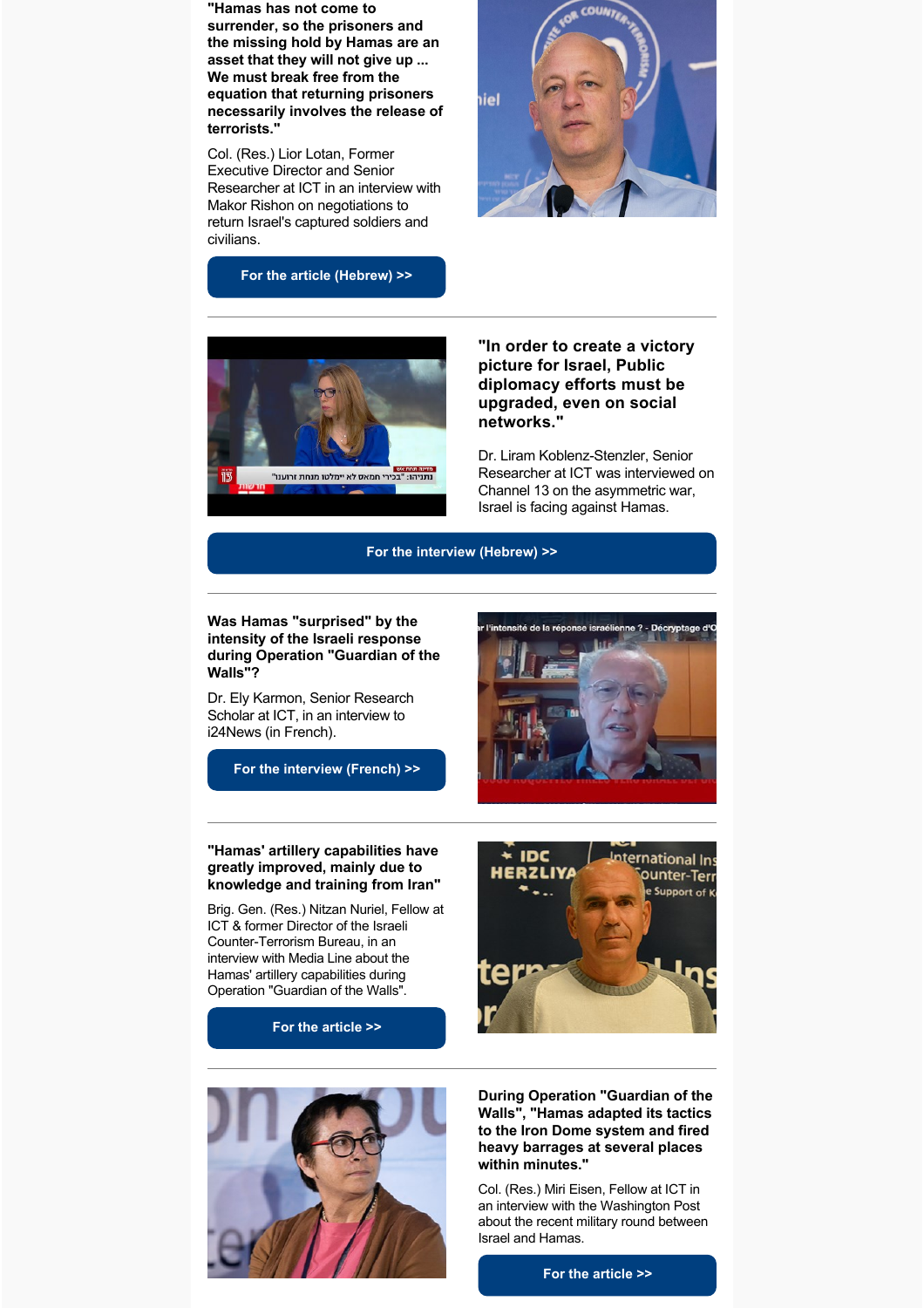**"Hamas has not come to surrender, so the prisoners and the missing hold by Hamas are an asset that they will not give up ... We must break free from the equation that returning prisoners necessarily involves the release of terrorists."** 

Col. (Res.) Lior Lotan, Former Executive Director and Senior Researcher at ICT in an interview with Makor Rishon on negotiations to return Israel's captured soldiers and civilians.



**[For the article \(Hebrew\) >>](https://www.makorrishon.co.il/news/352071/)**



**"In order to create a victory picture for Israel, Public diplomacy efforts must be upgraded, even on social networks."** 

Dr. Liram Koblenz-Stenzler, Senior Researcher at ICT was interviewed on Channel 13 on the asymmetric war, Israel is facing against Hamas.

ne ? - Décryptage d'



## **Was Hamas "surprised" by the intensity of the Israeli response during Operation "Guardian of the Walls"?**

Dr. Ely Karmon, Senior Research Scholar at ICT, in an interview to i24News (in French).

**[For the interview \(French\) >>](https://video.i24news.tv/details/_6254461826001)**



## **"Hamas' artillery capabilities have greatly improved, mainly due to knowledge and training from Iran"**

Brig. Gen. (Res.) Nitzan Nuriel, Fellow at ICT & former Director of the Israeli Counter-Terrorism Bureau, in an interview with Media Line about the Hamas' artillery capabilities during Operation "Guardian of the Walls".

**[For the article >>](https://themedialine.org/top-stories/hamas-dealt-heavy-blow-surprised-by-israeli-response-analysts-say/)**





**During Operation "Guardian of the Walls", "Hamas adapted its tactics to the Iron Dome system and fired heavy barrages at several places within minutes."** 

Col. (Res.) Miri Eisen, Fellow at ICT in an interview with the Washington Post about the recent military round between Israel and Hamas.

**[For the article >>](https://www.washingtonpost.com/world/middle_east/tel-aviv-israel-hamas-rockets/2021/05/19/c9587b66-b72a-11eb-bc4a-62849cf6cca9_story.html)**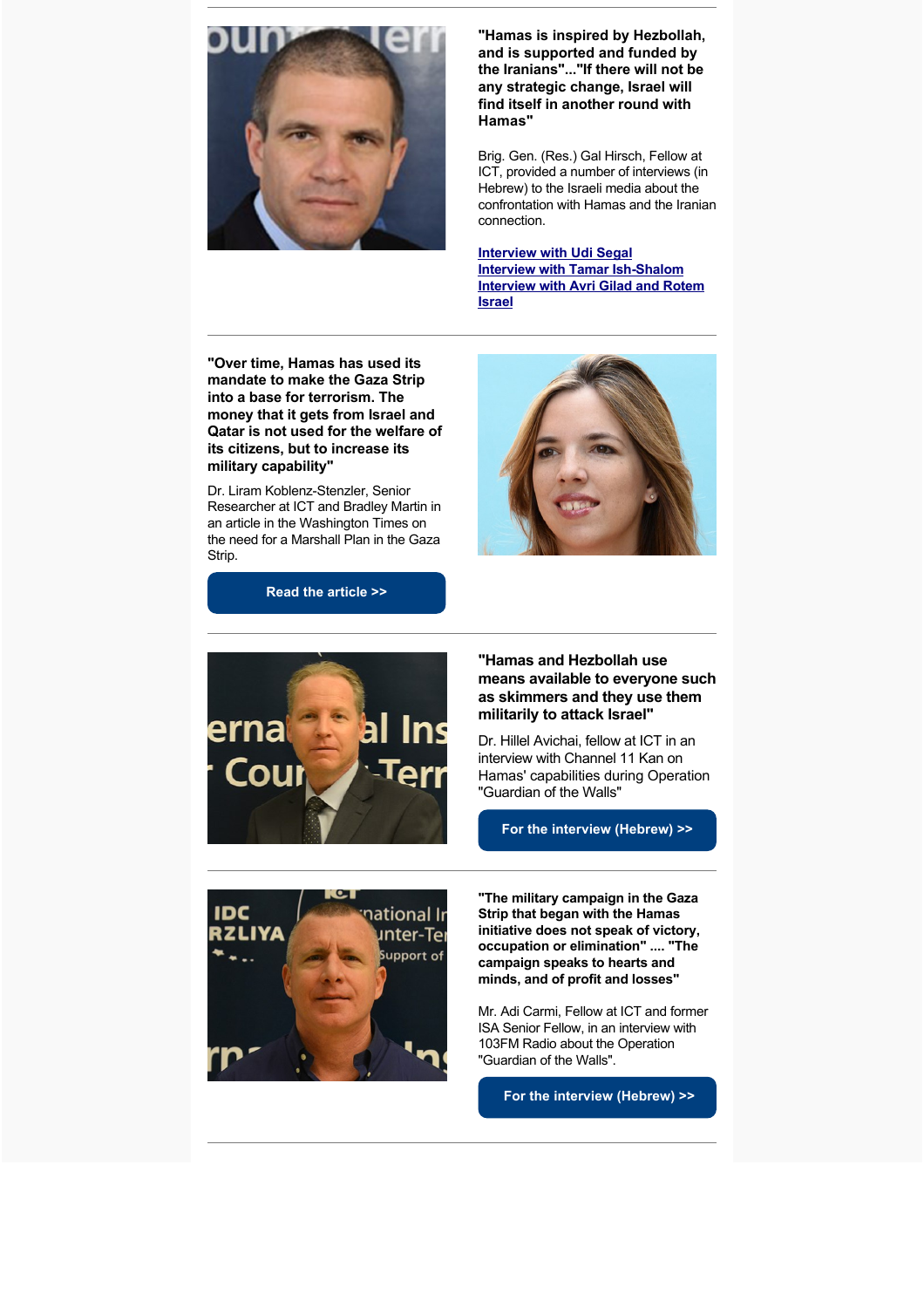

**"Hamas is inspired by Hezbollah, and is supported and funded by the Iranians"..."If there will not be any strategic change, Israel will find itself in another round with Hamas"**

Brig. Gen. (Res.) Gal Hirsch, Fellow at ICT, provided a number of interviews (in Hebrew) to the Israeli media about the confrontation with Hamas and the Iranian connection.

**[Interview with Udi Segal](http://www.youtube.com/watch?v=RTuNjHG8Hfk) [Interview with Tamar Ish-Shalom](http://www.youtube.com/watch?v=s4aKI0Eix-U) [Interview with Avri Gilad and Rotem](http://www.youtube.com/watch?v=6nQsnkTG6W8) Israel**

**"Over time, Hamas has used its mandate to make the Gaza Strip into a base for terrorism. The money that it gets from Israel and Qatar is not used for the welfare of its citizens, but to increase its military capability"** 

Dr. Liram Koblenz-Stenzler, Senior Researcher at ICT and Bradley Martin in an article in the Washington Times on the need for a Marshall Plan in the Gaza Strip.







**"Hamas and Hezbollah use means available to everyone such as skimmers and they use them militarily to attack Israel"** 

Dr. Hillel Avichai, fellow at ICT in an interview with Channel 11 Kan on Hamas' capabilities during Operation "Guardian of the Walls"

**[For the interview \(Hebrew\) >>](http://www.facebook.com/watch/live/?v=1169422070151063&ref=watch_permalink)**



**"The military campaign in the Gaza Strip that began with the Hamas initiative does not speak of victory, occupation or elimination" .... "The campaign speaks to hearts and minds, and of profit and losses"** 

Mr. Adi Carmi, Fellow at ICT and former ISA Senior Fellow, in an interview with 103FM Radio about the Operation "Guardian of the Walls".

 **[For the interview \(Hebrew\) >>](http://www.maariv.co.il/news/military/Article-841708)**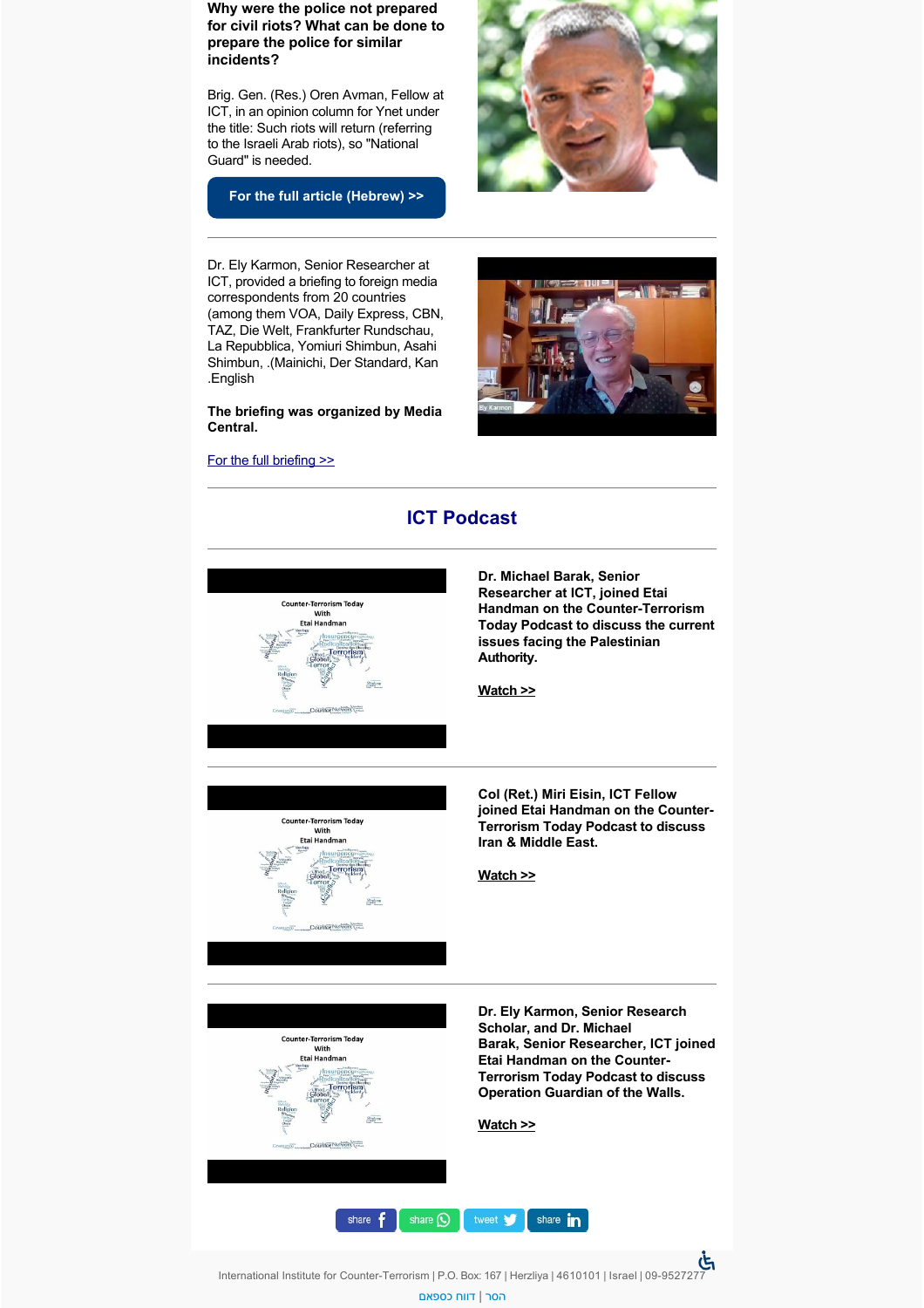**Why were the police not prepared for civil riots? What can be done to prepare the police for similar incidents?** 

Brig. Gen. (Res.) Oren Avman, Fellow at ICT, in an opinion column for Ynet under the title: Such riots will return (referring to the Israeli Arab riots), so "National Guard" is needed.

**[For the full article \(Hebrew\) >>](https://www.ynet.co.il/news/article/S1fhWsmYu)**



Dr. Ely Karmon, Senior Researcher at ICT, provided a briefing to foreign media correspondents from 20 countries (among them VOA, Daily Express, CBN, TAZ, Die Welt, Frankfurter Rundschau, La Repubblica, Yomiuri Shimbun, Asahi Shimbun, .(Mainichi, Der Standard, Kan .English

**The briefing was organized by Media Central.**

## [For the full briefing >>](http://youtu.be/fyrHgBKE_II)





International Institute for Counter-Terrorism | P.O. Box: 167 | Herzliya | 4610101 | Israel | 09-9527277